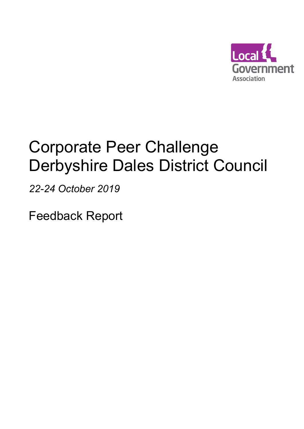

# Corporate Peer Challenge Derbyshire Dales District Council

22-24 October 2019

Feedback Report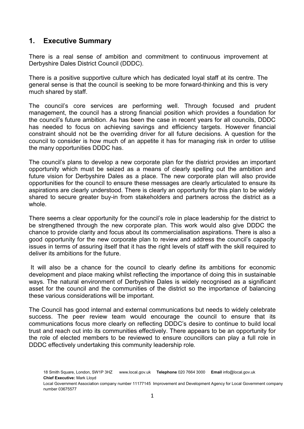# 1. Executive Summary

There is a real sense of ambition and commitment to continuous improvement at Derbyshire Dales District Council (DDDC).

There is a positive supportive culture which has dedicated loyal staff at its centre. The general sense is that the council is seeking to be more forward-thinking and this is very much shared by staff.

The council's core services are performing well. Through focused and prudent management, the council has a strong financial position which provides a foundation for the council's future ambition. As has been the case in recent years for all councils, DDDC has needed to focus on achieving savings and efficiency targets. However financial constraint should not be the overriding driver for all future decisions. A question for the council to consider is how much of an appetite it has for managing risk in order to utilise the many opportunities DDDC has.

The council's plans to develop a new corporate plan for the district provides an important opportunity which must be seized as a means of clearly spelling out the ambition and future vision for Derbyshire Dales as a place. The new corporate plan will also provide opportunities for the council to ensure these messages are clearly articulated to ensure its aspirations are clearly understood. There is clearly an opportunity for this plan to be widely shared to secure greater buy-in from stakeholders and partners across the district as a whole.

There seems a clear opportunity for the council's role in place leadership for the district to be strengthened through the new corporate plan. This work would also give DDDC the chance to provide clarity and focus about its commercialisation aspirations. There is also a good opportunity for the new corporate plan to review and address the council's capacity issues in terms of assuring itself that it has the right levels of staff with the skill required to deliver its ambitions for the future.

 It will also be a chance for the council to clearly define its ambitions for economic development and place making whilst reflecting the importance of doing this in sustainable ways. The natural environment of Derbyshire Dales is widely recognised as a significant asset for the council and the communities of the district so the importance of balancing these various considerations will be important.

The Council has good internal and external communications but needs to widely celebrate success. The peer review team would encourage the council to ensure that its communications focus more clearly on reflecting DDDC's desire to continue to build local trust and reach out into its communities effectively. There appears to be an opportunity for the role of elected members to be reviewed to ensure councillors can play a full role in DDDC effectively undertaking this community leadership role.

Local Government Association company number 11177145 Improvement and Development Agency for Local Government company number 03675577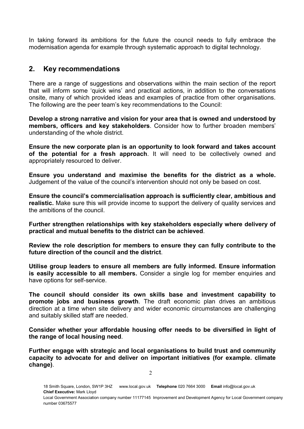In taking forward its ambitions for the future the council needs to fully embrace the modernisation agenda for example through systematic approach to digital technology.

# 2. Key recommendations

number 03675577

There are a range of suggestions and observations within the main section of the report that will inform some 'quick wins' and practical actions, in addition to the conversations onsite, many of which provided ideas and examples of practice from other organisations. The following are the peer team's key recommendations to the Council:

Develop a strong narrative and vision for your area that is owned and understood by members, officers and key stakeholders. Consider how to further broaden members' understanding of the whole district.

Ensure the new corporate plan is an opportunity to look forward and takes account of the potential for a fresh approach. It will need to be collectively owned and appropriately resourced to deliver.

Ensure you understand and maximise the benefits for the district as a whole. Judgement of the value of the council's intervention should not only be based on cost.

Ensure the council's commercialisation approach is sufficiently clear, ambitious and realistic. Make sure this will provide income to support the delivery of quality services and the ambitions of the council.

Further strengthen relationships with key stakeholders especially where delivery of practical and mutual benefits to the district can be achieved.

Review the role description for members to ensure they can fully contribute to the future direction of the council and the district.

Utilise group leaders to ensure all members are fully informed. Ensure information is easily accessible to all members. Consider a single log for member enquiries and have options for self-service.

The council should consider its own skills base and investment capability to promote jobs and business growth. The draft economic plan drives an ambitious direction at a time when site delivery and wider economic circumstances are challenging and suitably skilled staff are needed.

Consider whether your affordable housing offer needs to be diversified in light of the range of local housing need.

Further engage with strategic and local organisations to build trust and community capacity to advocate for and deliver on important initiatives (for example. climate change).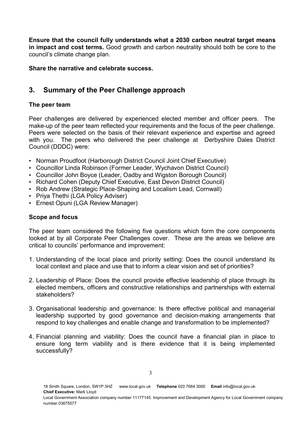Ensure that the council fully understands what a 2030 carbon neutral target means in impact and cost terms. Good growth and carbon neutrality should both be core to the council's climate change plan.

Share the narrative and celebrate success.

# 3. Summary of the Peer Challenge approach

# The peer team

Peer challenges are delivered by experienced elected member and officer peers. The make-up of the peer team reflected your requirements and the focus of the peer challenge. Peers were selected on the basis of their relevant experience and expertise and agreed with you. The peers who delivered the peer challenge at Derbyshire Dales District Council (DDDC) were:

- Norman Proudfoot (Harborough District Council Joint Chief Executive)
- Councillor Linda Robinson (Former Leader, Wychavon District Council)
- Councillor John Boyce (Leader, Oadby and Wigston Borough Council)
- Richard Cohen (Deputy Chief Executive, East Devon District Council)
- Rob Andrew (Strategic Place-Shaping and Localism Lead, Cornwall)
- Priya Thethi (LGA Policy Adviser)
- Ernest Opuni (LGA Review Manager)

#### Scope and focus

The peer team considered the following five questions which form the core components looked at by all Corporate Peer Challenges cover. These are the areas we believe are critical to councils' performance and improvement:

- 1. Understanding of the local place and priority setting: Does the council understand its local context and place and use that to inform a clear vision and set of priorities?
- 2. Leadership of Place: Does the council provide effective leadership of place through its elected members, officers and constructive relationships and partnerships with external stakeholders?
- 3. Organisational leadership and governance: Is there effective political and managerial leadership supported by good governance and decision-making arrangements that respond to key challenges and enable change and transformation to be implemented?
- 4. Financial planning and viability: Does the council have a financial plan in place to ensure long term viability and is there evidence that it is being implemented successfully?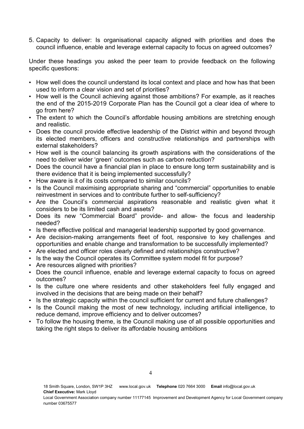5. Capacity to deliver: Is organisational capacity aligned with priorities and does the council influence, enable and leverage external capacity to focus on agreed outcomes?

Under these headings you asked the peer team to provide feedback on the following specific questions:

- How well does the council understand its local context and place and how has that been used to inform a clear vision and set of priorities?
- How well is the Council achieving against those ambitions? For example, as it reaches the end of the 2015-2019 Corporate Plan has the Council got a clear idea of where to go from here?
- The extent to which the Council's affordable housing ambitions are stretching enough and realistic.
- Does the council provide effective leadership of the District within and beyond through its elected members, officers and constructive relationships and partnerships with external stakeholders?
- How well is the council balancing its growth aspirations with the considerations of the need to deliver wider 'green' outcomes such as carbon reduction?
- Does the council have a financial plan in place to ensure long term sustainability and is there evidence that it is being implemented successfully?
- How aware is it of its costs compared to similar councils?
- Is the Council maximising appropriate sharing and "commercial" opportunities to enable reinvestment in services and to contribute further to self-sufficiency?
- Are the Council's commercial aspirations reasonable and realistic given what it considers to be its limited cash and assets?
- Does its new "Commercial Board" provide- and allow- the focus and leadership needed?
- Is there effective political and managerial leadership supported by good governance.
- Are decision-making arrangements fleet of foot, responsive to key challenges and opportunities and enable change and transformation to be successfully implemented?
- Are elected and officer roles clearly defined and relationships constructive?
- Is the way the Council operates its Committee system model fit for purpose?
- Are resources aligned with priorities?
- Does the council influence, enable and leverage external capacity to focus on agreed outcomes?
- Is the culture one where residents and other stakeholders feel fully engaged and involved in the decisions that are being made on their behalf?
- Is the strategic capacity within the council sufficient for current and future challenges?
- Is the Council making the most of new technology, including artificial intelligence, to reduce demand, improve efficiency and to deliver outcomes?
- To follow the housing theme, is the Council making use of all possible opportunities and taking the right steps to deliver its affordable housing ambitions

18 Smith Square, London, SW1P 3HZ www.local.gov.uk Telephone 020 7664 3000 Email info@local.gov.uk Chief Executive: Mark Lloyd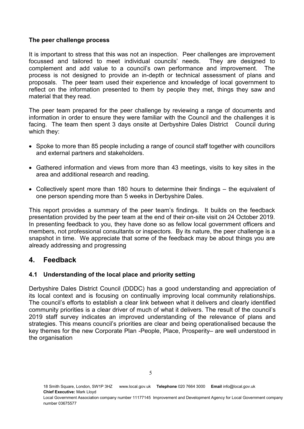#### The peer challenge process

It is important to stress that this was not an inspection. Peer challenges are improvement focussed and tailored to meet individual councils' needs. They are designed to complement and add value to a council's own performance and improvement. The process is not designed to provide an in-depth or technical assessment of plans and proposals. The peer team used their experience and knowledge of local government to reflect on the information presented to them by people they met, things they saw and material that they read.

The peer team prepared for the peer challenge by reviewing a range of documents and information in order to ensure they were familiar with the Council and the challenges it is facing. The team then spent 3 days onsite at Derbyshire Dales District Council during which they:

- Spoke to more than 85 people including a range of council staff together with councillors and external partners and stakeholders.
- Gathered information and views from more than 43 meetings, visits to key sites in the area and additional research and reading.
- Collectively spent more than 180 hours to determine their findings the equivalent of one person spending more than 5 weeks in Derbyshire Dales.

This report provides a summary of the peer team's findings. It builds on the feedback presentation provided by the peer team at the end of their on-site visit on 24 October 2019. In presenting feedback to you, they have done so as fellow local government officers and members, not professional consultants or inspectors. By its nature, the peer challenge is a snapshot in time. We appreciate that some of the feedback may be about things you are already addressing and progressing

# 4. Feedback

# 4.1 Understanding of the local place and priority setting

Derbyshire Dales District Council (DDDC) has a good understanding and appreciation of its local context and is focusing on continually improving local community relationships. The council's efforts to establish a clear link between what it delivers and clearly identified community priorities is a clear driver of much of what it delivers. The result of the council's 2019 staff survey indicates an improved understanding of the relevance of plans and strategies. This means council's priorities are clear and being operationalised because the key themes for the new Corporate Plan -People, Place, Prosperity– are well understood in the organisation

18 Smith Square, London, SW1P 3HZ www.local.gov.uk Telephone 020 7664 3000 Email info@local.gov.uk Chief Executive: Mark Lloyd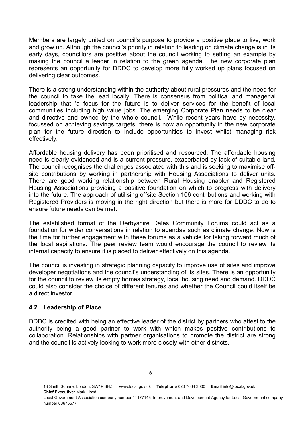Members are largely united on council's purpose to provide a positive place to live, work and grow up. Although the council's priority in relation to leading on climate change is in its early days, councillors are positive about the council working to setting an example by making the council a leader in relation to the green agenda. The new corporate plan represents an opportunity for DDDC to develop more fully worked up plans focused on delivering clear outcomes.

There is a strong understanding within the authority about rural pressures and the need for the council to take the lead locally. There is consensus from political and managerial leadership that 'a focus for the future is to deliver services for the benefit of local communities including high value jobs. The emerging Corporate Plan needs to be clear and directive and owned by the whole council. While recent years have by necessity, focussed on achieving savings targets, there is now an opportunity in the new corporate plan for the future direction to include opportunities to invest whilst managing risk effectively.

Affordable housing delivery has been prioritised and resourced. The affordable housing need is clearly evidenced and is a current pressure, exacerbated by lack of suitable land. The council recognises the challenges associated with this and is seeking to maximise offsite contributions by working in partnership with Housing Associations to deliver units. There are good working relationship between Rural Housing enabler and Registered Housing Associations providing a positive foundation on which to progress with delivery into the future. The approach of utilising offsite Section 106 contributions and working with Registered Providers is moving in the right direction but there is more for DDDC to do to ensure future needs can be met.

The established format of the Derbyshire Dales Community Forums could act as a foundation for wider conversations in relation to agendas such as climate change. Now is the time for further engagement with these forums as a vehicle for taking forward much of the local aspirations. The peer review team would encourage the council to review its internal capacity to ensure it is placed to deliver effectively on this agenda.

The council is investing in strategic planning capacity to improve use of sites and improve developer negotiations and the council's understanding of its sites. There is an opportunity for the council to review its empty homes strategy, local housing need and demand. DDDC could also consider the choice of different tenures and whether the Council could itself be a direct investor.

#### 4.2 Leadership of Place

DDDC is credited with being an effective leader of the district by partners who attest to the authority being a good partner to work with which makes positive contributions to collaboration. Relationships with partner organisations to promote the district are strong and the council is actively looking to work more closely with other districts.

<sup>18</sup> Smith Square, London, SW1P 3HZ www.local.gov.uk Telephone 020 7664 3000 Email info@local.gov.uk Chief Executive: Mark Lloyd

Local Government Association company number 11177145 Improvement and Development Agency for Local Government company number 03675577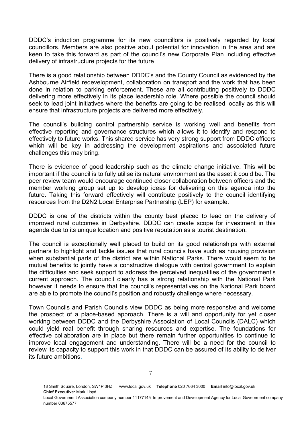DDDC's induction programme for its new councillors is positively regarded by local councillors. Members are also positive about potential for innovation in the area and are keen to take this forward as part of the council's new Corporate Plan including effective delivery of infrastructure projects for the future

There is a good relationship between DDDC's and the County Council as evidenced by the Ashbourne Airfield redevelopment, collaboration on transport and the work that has been done in relation to parking enforcement. These are all contributing positively to DDDC delivering more effectively in its place leadership role. Where possible the council should seek to lead joint initiatives where the benefits are going to be realised locally as this will ensure that infrastructure projects are delivered more effectively.

The council's building control partnership service is working well and benefits from effective reporting and governance structures which allows it to identify and respond to effectively to future works. This shared service has very strong support from DDDC officers which will be key in addressing the development aspirations and associated future challenges this may bring.

There is evidence of good leadership such as the climate change initiative. This will be important if the council is to fully utilise its natural environment as the asset it could be. The peer review team would encourage continued closer collaboration between officers and the member working group set up to develop ideas for delivering on this agenda into the future. Taking this forward effectively will contribute positively to the council identifying resources from the D2N2 Local Enterprise Partnership (LEP) for example.

DDDC is one of the districts within the county best placed to lead on the delivery of improved rural outcomes in Derbyshire. DDDC can create scope for investment in this agenda due to its unique location and positive reputation as a tourist destination.

The council is exceptionally well placed to build on its good relationships with external partners to highlight and tackle issues that rural councils have such as housing provision when substantial parts of the district are within National Parks. There would seem to be mutual benefits to jointly have a constructive dialogue with central government to explain the difficulties and seek support to address the perceived inequalities of the government's current approach. The council clearly has a strong relationship with the National Park however it needs to ensure that the council's representatives on the National Park board are able to promote the council's position and robustly challenge where necessary.

Town Councils and Parish Councils view DDDC as being more responsive and welcome the prospect of a place-based approach. There is a will and opportunity for yet closer working between DDDC and the Derbyshire Association of Local Councils (DALC) which could yield real benefit through sharing resources and expertise. The foundations for effective collaboration are in place but there remain further opportunities to continue to improve local engagement and understanding. There will be a need for the council to review its capacity to support this work in that DDDC can be assured of its ability to deliver its future ambitions.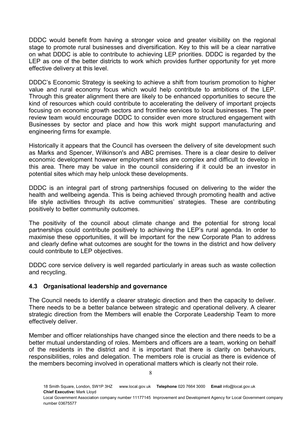DDDC would benefit from having a stronger voice and greater visibility on the regional stage to promote rural businesses and diversification. Key to this will be a clear narrative on what DDDC is able to contribute to achieving LEP priorities. DDDC is regarded by the LEP as one of the better districts to work which provides further opportunity for yet more effective delivery at this level.

DDDC's Economic Strategy is seeking to achieve a shift from tourism promotion to higher value and rural economy focus which would help contribute to ambitions of the LEP. Through this greater alignment there are likely to be enhanced opportunities to secure the kind of resources which could contribute to accelerating the delivery of important projects focusing on economic growth sectors and frontline services to local businesses. The peer review team would encourage DDDC to consider even more structured engagement with Businesses by sector and place and how this work might support manufacturing and engineering firms for example.

Historically it appears that the Council has overseen the delivery of site development such as Marks and Spencer, Wilkinson's and ABC premises. There is a clear desire to deliver economic development however employment sites are complex and difficult to develop in this area. There may be value in the council considering if it could be an investor in potential sites which may help unlock these developments.

DDDC is an integral part of strong partnerships focused on delivering to the wider the health and wellbeing agenda. This is being achieved through promoting health and active life style activities through its active communities' strategies. These are contributing positively to better community outcomes.

The positivity of the council about climate change and the potential for strong local partnerships could contribute positively to achieving the LEP's rural agenda. In order to maximise these opportunities, it will be important for the new Corporate Plan to address and clearly define what outcomes are sought for the towns in the district and how delivery could contribute to LEP objectives.

DDDC core service delivery is well regarded particularly in areas such as waste collection and recycling.

# 4.3 Organisational leadership and governance

The Council needs to identify a clearer strategic direction and then the capacity to deliver. There needs to be a better balance between strategic and operational delivery. A clearer strategic direction from the Members will enable the Corporate Leadership Team to more effectively deliver.

Member and officer relationships have changed since the election and there needs to be a better mutual understanding of roles. Members and officers are a team, working on behalf of the residents in the district and it is important that there is clarity on behaviours, responsibilities, roles and delegation. The members role is crucial as there is evidence of the members becoming involved in operational matters which is clearly not their role.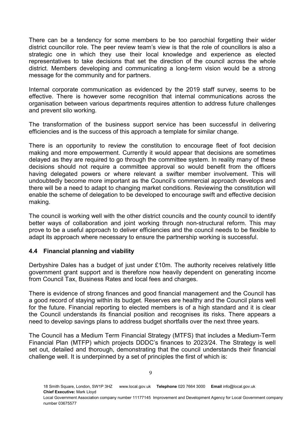There can be a tendency for some members to be too parochial forgetting their wider district councillor role. The peer review team's view is that the role of councillors is also a strategic one in which they use their local knowledge and experience as elected representatives to take decisions that set the direction of the council across the whole district. Members developing and communicating a long-term vision would be a strong message for the community and for partners.

Internal corporate communication as evidenced by the 2019 staff survey, seems to be effective. There is however some recognition that internal communications across the organisation between various departments requires attention to address future challenges and prevent silo working.

The transformation of the business support service has been successful in delivering efficiencies and is the success of this approach a template for similar change.

There is an opportunity to review the constitution to encourage fleet of foot decision making and more empowerment. Currently it would appear that decisions are sometimes delayed as they are required to go through the committee system. In reality many of these decisions should not require a committee approval so would benefit from the officers having delegated powers or where relevant a swifter member involvement. This will undoubtedly become more important as the Council's commercial approach develops and there will be a need to adapt to changing market conditions. Reviewing the constitution will enable the scheme of delegation to be developed to encourage swift and effective decision making.

The council is working well with the other district councils and the county council to identify better ways of collaboration and joint working through non-structural reform. This may prove to be a useful approach to deliver efficiencies and the council needs to be flexible to adapt its approach where necessary to ensure the partnership working is successful.

#### 4.4 Financial planning and viability

Derbyshire Dales has a budget of just under £10m. The authority receives relatively little government grant support and is therefore now heavily dependent on generating income from Council Tax, Business Rates and local fees and charges.

There is evidence of strong finances and good financial management and the Council has a good record of staying within its budget. Reserves are healthy and the Council plans well for the future. Financial reporting to elected members is of a high standard and it is clear the Council understands its financial position and recognises its risks. There appears a need to develop savings plans to address budget shortfalls over the next three years.

The Council has a Medium Term Financial Strategy (MTFS) that includes a Medium-Term Financial Plan (MTFP) which projects DDDC's finances to 2023/24. The Strategy is well set out, detailed and thorough, demonstrating that the council understands their financial challenge well. It is underpinned by a set of principles the first of which is: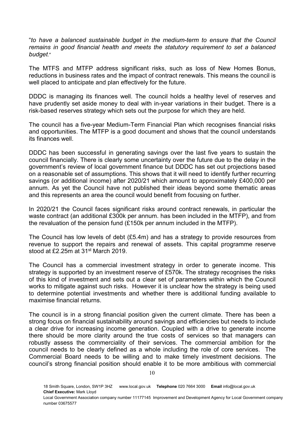"to have a balanced sustainable budget in the medium-term to ensure that the Council remains in good financial health and meets the statutory requirement to set a balanced budget."

The MTFS and MTFP address significant risks, such as loss of New Homes Bonus, reductions in business rates and the impact of contract renewals. This means the council is well placed to anticipate and plan effectively for the future.

DDDC is managing its finances well. The council holds a healthy level of reserves and have prudently set aside money to deal with in-year variations in their budget. There is a risk-based reserves strategy which sets out the purpose for which they are held.

The council has a five-year Medium-Term Financial Plan which recognises financial risks and opportunities. The MTFP is a good document and shows that the council understands its finances well.

DDDC has been successful in generating savings over the last five years to sustain the council financially. There is clearly some uncertainty over the future due to the delay in the government's review of local government finance but DDDC has set out projections based on a reasonable set of assumptions. This shows that it will need to identify further recurring savings (or additional income) after 2020/21 which amount to approximately £400,000 per annum. As yet the Council have not published their ideas beyond some thematic areas and this represents an area the council would benefit from focusing on further.

In 2020/21 the Council faces significant risks around contract renewals, in particular the waste contract (an additional £300k per annum. has been included in the MTFP), and from the revaluation of the pension fund (£150k per annum included in the MTFP).

The Council has low levels of debt (£5.4m) and has a strategy to provide resources from revenue to support the repairs and renewal of assets. This capital programme reserve stood at £2.25m at 31st March 2019.

The Council has a commercial investment strategy in order to generate income. This strategy is supported by an investment reserve of £570k. The strategy recognises the risks of this kind of investment and sets out a clear set of parameters within which the Council works to mitigate against such risks. However it is unclear how the strategy is being used to determine potential investments and whether there is additional funding available to maximise financial returns.

The council is in a strong financial position given the current climate. There has been a strong focus on financial sustainability around savings and efficiencies but needs to include a clear drive for increasing income generation. Coupled with a drive to generate income there should be more clarity around the true costs of services so that managers can robustly assess the commerciality of their services. The commercial ambition for the council needs to be clearly defined as a whole including the role of core services. The Commercial Board needs to be willing and to make timely investment decisions. The council's strong financial position should enable it to be more ambitious with commercial

<sup>18</sup> Smith Square, London, SW1P 3HZ www.local.gov.uk Telephone 020 7664 3000 Email info@local.gov.uk Chief Executive: Mark Lloyd

Local Government Association company number 11177145 Improvement and Development Agency for Local Government company number 03675577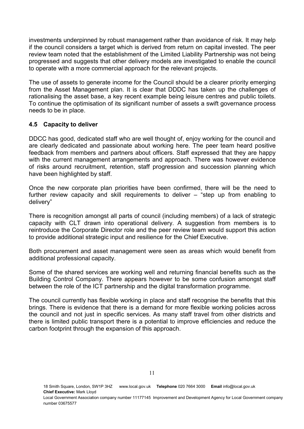investments underpinned by robust management rather than avoidance of risk. It may help if the council considers a target which is derived from return on capital invested. The peer review team noted that the establishment of the Limited Liability Partnership was not being progressed and suggests that other delivery models are investigated to enable the council to operate with a more commercial approach for the relevant projects.

The use of assets to generate income for the Council should be a clearer priority emerging from the Asset Management plan. It is clear that DDDC has taken up the challenges of rationalising the asset base, a key recent example being leisure centres and public toilets. To continue the optimisation of its significant number of assets a swift governance process needs to be in place.

#### 4.5 Capacity to deliver

DDCC has good, dedicated staff who are well thought of, enjoy working for the council and are clearly dedicated and passionate about working here. The peer team heard positive feedback from members and partners about officers. Staff expressed that they are happy with the current management arrangements and approach. There was however evidence of risks around recruitment, retention, staff progression and succession planning which have been highlighted by staff.

Once the new corporate plan priorities have been confirmed, there will be the need to further review capacity and skill requirements to deliver – "step up from enabling to delivery"

There is recognition amongst all parts of council (including members) of a lack of strategic capacity with CLT drawn into operational delivery. A suggestion from members is to reintroduce the Corporate Director role and the peer review team would support this action to provide additional strategic input and resilience for the Chief Executive.

Both procurement and asset management were seen as areas which would benefit from additional professional capacity.

Some of the shared services are working well and returning financial benefits such as the Building Control Company. There appears however to be some confusion amongst staff between the role of the ICT partnership and the digital transformation programme.

The council currently has flexible working in place and staff recognise the benefits that this brings. There is evidence that there is a demand for more flexible working policies across the council and not just in specific services. As many staff travel from other districts and there is limited public transport there is a potential to improve efficiencies and reduce the carbon footprint through the expansion of this approach.

<sup>18</sup> Smith Square, London, SW1P 3HZ www.local.gov.uk Telephone 020 7664 3000 Email info@local.gov.uk Chief Executive: Mark Lloyd

Local Government Association company number 11177145 Improvement and Development Agency for Local Government company number 03675577